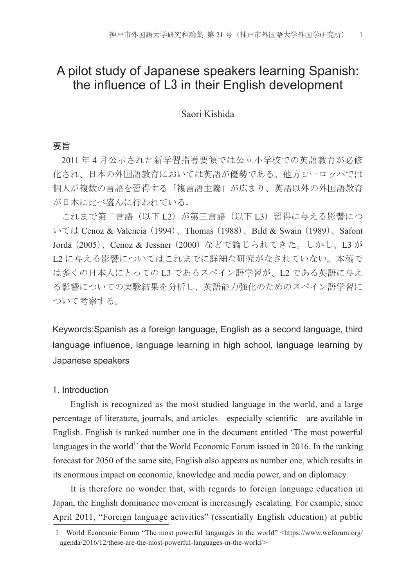# A pilot study of Japanese speakers learning Spanish: the influence of L3 in their English development

Saori Kishida

## 要旨

2011 年 4 月公示された新学習指導要領では公立小学校での英語教育が必修 化され、日本の外国語教育においては英語が優勢である。他方ヨーロッパでは 個人が複数の言語を習得する「複言語主義」が広まり、英語以外の外国語教育 が日本に比べ盛んに行われている。

これまで第二言語(以下 L2)が第三言語(以下 L3)習得に与える影響につ いては Cenoz & Valencia (1994)、Thomas (1988)、Bild & Swain (1989)、Safont Jordà (2005)、Cenoz & Jessner (2000)などで論じられてきた。しかし、L3 が L2 に与える影響についてはこれまでに詳細な研究がなされていない。本稿で は多くの日本人にとっての L3 であるスペイン語学習が、L2 である英語に与え る影響についての実験結果を分析し、英語能力強化のためのスペイン語学習に ついて考察する。

Keywords:Spanish as a foreign language, English as a second language, third language influence, language learning in high school, language learning by Japanese speakers

## 1. Introduction

English is recognized as the most studied language in the world, and a large percentage of literature, journals, and articles—especially scientifc—are available in English. English is ranked number one in the document entitled 'The most powerful languages in the world<sup>1</sup> that the World Economic Forum issued in 2016. In the ranking forecast for 2050 of the same site, English also appears as number one, which results in its enormous impact on economic, knowledge and media power, and on diplomacy.

It is therefore no wonder that, with regards to foreign language education in Japan, the English dominance movement is increasingly escalating. For example, since April 2011, "Foreign language activities" (essentially English education) at public

<sup>1</sup> World Economic Forum "The most powerful languages in the world" <https://www.weforum.org/ agenda/2016/12/these-are-the-most-powerful-languages-in-the-world/>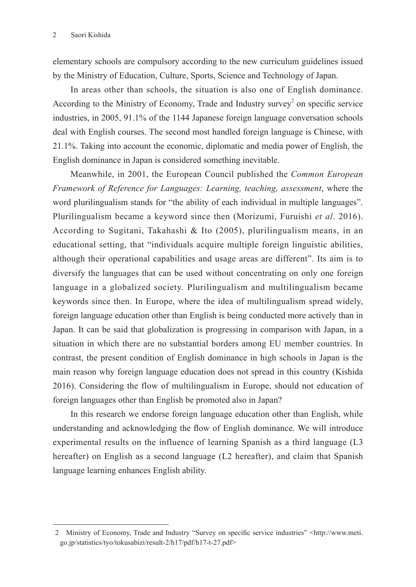elementary schools are compulsory according to the new curriculum guidelines issued by the Ministry of Education, Culture, Sports, Science and Technology of Japan.

In areas other than schools, the situation is also one of English dominance. According to the Ministry of Economy, Trade and Industry survey<sup>2</sup> on specific service industries, in 2005, 91.1% of the 1144 Japanese foreign language conversation schools deal with English courses. The second most handled foreign language is Chinese, with 21.1%. Taking into account the economic, diplomatic and media power of English, the English dominance in Japan is considered something inevitable.

Meanwhile, in 2001, the European Council published the *Common European Framework of Reference for Languages: Learning, teaching, assessment*, where the word plurilingualism stands for "the ability of each individual in multiple languages". Plurilingualism became a keyword since then (Morizumi, Furuishi *et al*. 2016). According to Sugitani, Takahashi & Ito (2005), plurilingualism means, in an educational setting, that "individuals acquire multiple foreign linguistic abilities, although their operational capabilities and usage areas are different". Its aim is to diversify the languages that can be used without concentrating on only one foreign language in a globalized society. Plurilingualism and multilingualism became keywords since then. In Europe, where the idea of multilingualism spread widely, foreign language education other than English is being conducted more actively than in Japan. It can be said that globalization is progressing in comparison with Japan, in a situation in which there are no substantial borders among EU member countries. In contrast, the present condition of English dominance in high schools in Japan is the main reason why foreign language education does not spread in this country (Kishida 2016). Considering the flow of multilingualism in Europe, should not education of foreign languages other than English be promoted also in Japan?

In this research we endorse foreign language education other than English, while understanding and acknowledging the fow of English dominance. We will introduce experimental results on the influence of learning Spanish as a third language (L3 hereafter) on English as a second language (L2 hereafter), and claim that Spanish language learning enhances English ability.

<sup>2</sup> Ministry of Economy, Trade and Industry "Survey on specifc service industries" <http://www.meti. go.jp/statistics/tyo/tokusabizi/result-2/h17/pdf/h17-t-27.pdf>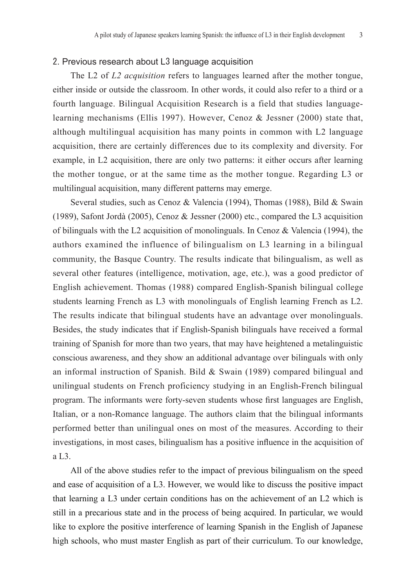#### 2. Previous research about L3 language acquisition

The L2 of *L2 acquisition* refers to languages learned after the mother tongue, either inside or outside the classroom. In other words, it could also refer to a third or a fourth language. Bilingual Acquisition Research is a field that studies languagelearning mechanisms (Ellis 1997). However, Cenoz & Jessner (2000) state that, although multilingual acquisition has many points in common with L2 language acquisition, there are certainly differences due to its complexity and diversity. For example, in L2 acquisition, there are only two patterns: it either occurs after learning the mother tongue, or at the same time as the mother tongue. Regarding L3 or multilingual acquisition, many different patterns may emerge.

Several studies, such as Cenoz & Valencia (1994), Thomas (1988), Bild & Swain (1989), Safont Jordà (2005), Cenoz & Jessner (2000) etc., compared the L3 acquisition of bilinguals with the L2 acquisition of monolinguals. In Cenoz & Valencia (1994), the authors examined the influence of bilingualism on L3 learning in a bilingual community, the Basque Country. The results indicate that bilingualism, as well as several other features (intelligence, motivation, age, etc.), was a good predictor of English achievement. Thomas (1988) compared English-Spanish bilingual college students learning French as L3 with monolinguals of English learning French as L2. The results indicate that bilingual students have an advantage over monolinguals. Besides, the study indicates that if English-Spanish bilinguals have received a formal training of Spanish for more than two years, that may have heightened a metalinguistic conscious awareness, and they show an additional advantage over bilinguals with only an informal instruction of Spanish. Bild & Swain (1989) compared bilingual and unilingual students on French proficiency studying in an English-French bilingual program. The informants were forty-seven students whose frst languages are English, Italian, or a non-Romance language. The authors claim that the bilingual informants performed better than unilingual ones on most of the measures. According to their investigations, in most cases, bilingualism has a positive infuence in the acquisition of a L3.

All of the above studies refer to the impact of previous bilingualism on the speed and ease of acquisition of a L3. However, we would like to discuss the positive impact that learning a L3 under certain conditions has on the achievement of an L2 which is still in a precarious state and in the process of being acquired. In particular, we would like to explore the positive interference of learning Spanish in the English of Japanese high schools, who must master English as part of their curriculum. To our knowledge,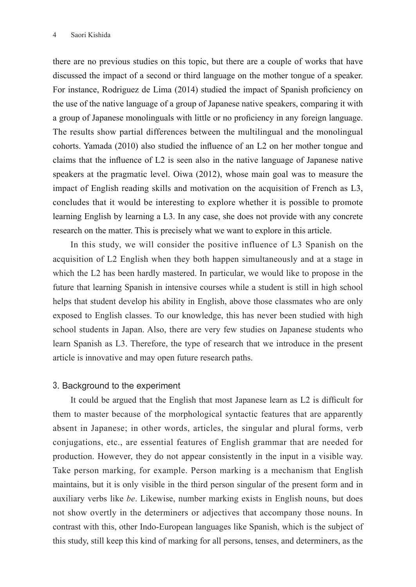there are no previous studies on this topic, but there are a couple of works that have discussed the impact of a second or third language on the mother tongue of a speaker. For instance, Rodriguez de Lima (2014) studied the impact of Spanish profciency on the use of the native language of a group of Japanese native speakers, comparing it with a group of Japanese monolinguals with little or no profciency in any foreign language. The results show partial differences between the multilingual and the monolingual cohorts. Yamada (2010) also studied the infuence of an L2 on her mother tongue and claims that the infuence of L2 is seen also in the native language of Japanese native speakers at the pragmatic level. Oiwa (2012), whose main goal was to measure the impact of English reading skills and motivation on the acquisition of French as L3, concludes that it would be interesting to explore whether it is possible to promote learning English by learning a L3. In any case, she does not provide with any concrete research on the matter. This is precisely what we want to explore in this article.

In this study, we will consider the positive influence of L3 Spanish on the acquisition of L2 English when they both happen simultaneously and at a stage in which the L2 has been hardly mastered. In particular, we would like to propose in the future that learning Spanish in intensive courses while a student is still in high school helps that student develop his ability in English, above those classmates who are only exposed to English classes. To our knowledge, this has never been studied with high school students in Japan. Also, there are very few studies on Japanese students who learn Spanish as L3. Therefore, the type of research that we introduce in the present article is innovative and may open future research paths.

#### 3. Background to the experiment

It could be argued that the English that most Japanese learn as L2 is diffcult for them to master because of the morphological syntactic features that are apparently absent in Japanese; in other words, articles, the singular and plural forms, verb conjugations, etc., are essential features of English grammar that are needed for production. However, they do not appear consistently in the input in a visible way. Take person marking, for example. Person marking is a mechanism that English maintains, but it is only visible in the third person singular of the present form and in auxiliary verbs like *be*. Likewise, number marking exists in English nouns, but does not show overtly in the determiners or adjectives that accompany those nouns. In contrast with this, other Indo-European languages like Spanish, which is the subject of this study, still keep this kind of marking for all persons, tenses, and determiners, as the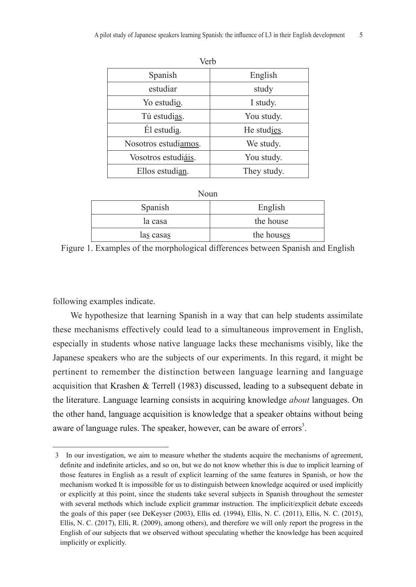| Verb                 |             |  |
|----------------------|-------------|--|
| Spanish              | English     |  |
| estudiar             | study       |  |
| Yo estudio.          | I study.    |  |
| Tú estudias.         | You study.  |  |
| Él estudia.          | He studies. |  |
| Nosotros estudiamos. | We study.   |  |
| Vosotros estudiáis.  | You study.  |  |
| Ellos estudian.      | They study. |  |

| Spanish   | English    |
|-----------|------------|
| la casa   | the house  |
| las casas | the houses |

Figure 1. Examples of the morphological differences between Spanish and English

following examples indicate.

We hypothesize that learning Spanish in a way that can help students assimilate these mechanisms effectively could lead to a simultaneous improvement in English, especially in students whose native language lacks these mechanisms visibly, like the Japanese speakers who are the subjects of our experiments. In this regard, it might be pertinent to remember the distinction between language learning and language acquisition that Krashen & Terrell (1983) discussed, leading to a subsequent debate in the literature. Language learning consists in acquiring knowledge *about* languages. On the other hand, language acquisition is knowledge that a speaker obtains without being aware of language rules. The speaker, however, can be aware of errors<sup>3</sup>.

<sup>3</sup> In our investigation, we aim to measure whether the students acquire the mechanisms of agreement, defnite and indefnite articles, and so on, but we do not know whether this is due to implicit learning of those features in English as a result of explicit learning of the same features in Spanish, or how the mechanism worked It is impossible for us to distinguish between knowledge acquired or used implicitly or explicitly at this point, since the students take several subjects in Spanish throughout the semester with several methods which include explicit grammar instruction. The implicit/explicit debate exceeds the goals of this paper (see DeKeyser (2003), Ellis ed. (1994), Ellis, N. C. (2011), Ellis, N. C. (2015), Ellis, N. C. (2017), Elli, R. (2009), among others), and therefore we will only report the progress in the English of our subjects that we observed without speculating whether the knowledge has been acquired implicitly or explicitly.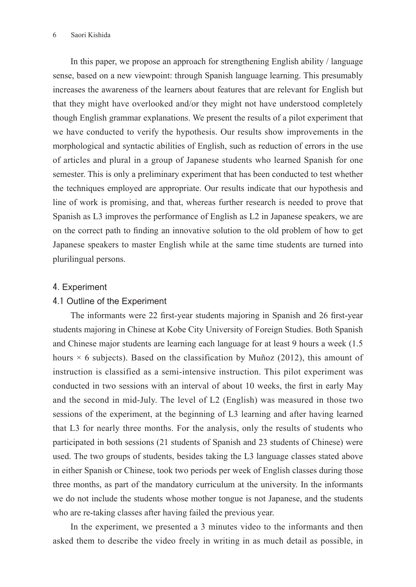In this paper, we propose an approach for strengthening English ability / language sense, based on a new viewpoint: through Spanish language learning. This presumably increases the awareness of the learners about features that are relevant for English but that they might have overlooked and/or they might not have understood completely though English grammar explanations. We present the results of a pilot experiment that we have conducted to verify the hypothesis. Our results show improvements in the morphological and syntactic abilities of English, such as reduction of errors in the use of articles and plural in a group of Japanese students who learned Spanish for one semester. This is only a preliminary experiment that has been conducted to test whether the techniques employed are appropriate. Our results indicate that our hypothesis and line of work is promising, and that, whereas further research is needed to prove that Spanish as L3 improves the performance of English as L2 in Japanese speakers, we are on the correct path to fnding an innovative solution to the old problem of how to get Japanese speakers to master English while at the same time students are turned into plurilingual persons.

#### 4. Experiment

#### 4.1 Outline of the Experiment

The informants were 22 frst-year students majoring in Spanish and 26 frst-year students majoring in Chinese at Kobe City University of Foreign Studies. Both Spanish and Chinese major students are learning each language for at least 9 hours a week (1.5 hours  $\times$  6 subjects). Based on the classification by Muñoz (2012), this amount of instruction is classified as a semi-intensive instruction. This pilot experiment was conducted in two sessions with an interval of about 10 weeks, the frst in early May and the second in mid-July. The level of L2 (English) was measured in those two sessions of the experiment, at the beginning of L3 learning and after having learned that L3 for nearly three months. For the analysis, only the results of students who participated in both sessions (21 students of Spanish and 23 students of Chinese) were used. The two groups of students, besides taking the L3 language classes stated above in either Spanish or Chinese, took two periods per week of English classes during those three months, as part of the mandatory curriculum at the university. In the informants we do not include the students whose mother tongue is not Japanese, and the students who are re-taking classes after having failed the previous year.

In the experiment, we presented a 3 minutes video to the informants and then asked them to describe the video freely in writing in as much detail as possible, in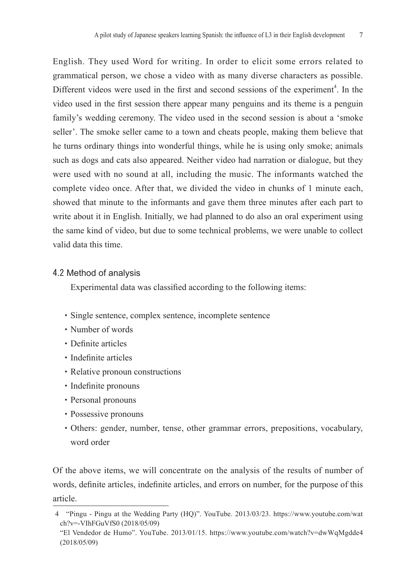English. They used Word for writing. In order to elicit some errors related to grammatical person, we chose a video with as many diverse characters as possible. Different videos were used in the first and second sessions of the experiment<sup>4</sup>. In the video used in the frst session there appear many penguins and its theme is a penguin family's wedding ceremony. The video used in the second session is about a 'smoke seller'. The smoke seller came to a town and cheats people, making them believe that he turns ordinary things into wonderful things, while he is using only smoke; animals such as dogs and cats also appeared. Neither video had narration or dialogue, but they were used with no sound at all, including the music. The informants watched the complete video once. After that, we divided the video in chunks of 1 minute each, showed that minute to the informants and gave them three minutes after each part to write about it in English. Initially, we had planned to do also an oral experiment using the same kind of video, but due to some technical problems, we were unable to collect valid data this time.

## 4.2 Method of analysis

Experimental data was classifed according to the following items:

- ・Single sentence, complex sentence, incomplete sentence
- ・Number of words
- ・Defnite articles
- ・Indefnite articles
- ・Relative pronoun constructions
- ・Indefnite pronouns
- ・Personal pronouns
- ・Possessive pronouns
- ・Others: gender, number, tense, other grammar errors, prepositions, vocabulary, word order

Of the above items, we will concentrate on the analysis of the results of number of words, defnite articles, indefnite articles, and errors on number, for the purpose of this article.

<sup>4</sup> "Pingu - Pingu at the Wedding Party (HQ)". YouTube. 2013/03/23. https://www.youtube.com/wat ch?v=-VIhFGuVfS0 (2018/05/09)

<sup>&</sup>quot;El Vendedor de Humo". YouTube. 2013/01/15. https://www.youtube.com/watch?v=dwWqMgdde4 (2018/05/09)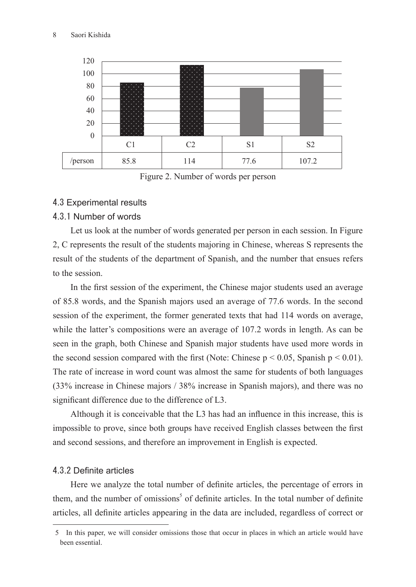

Figure 2. Number of words per person

# 4.3 Experimental results

## 4.3.1 Number of words

Let us look at the number of words generated per person in each session. In Figure 2, C represents the result of the students majoring in Chinese, whereas S represents the result of the students of the department of Spanish, and the number that ensues refers to the session.

In the frst session of the experiment, the Chinese major students used an average of 85.8 words, and the Spanish majors used an average of 77.6 words. In the second session of the experiment, the former generated texts that had 114 words on average, while the latter's compositions were an average of 107.2 words in length. As can be seen in the graph, both Chinese and Spanish major students have used more words in the second session compared with the first (Note: Chinese  $p \le 0.05$ , Spanish  $p \le 0.01$ ). The rate of increase in word count was almost the same for students of both languages (33% increase in Chinese majors / 38% increase in Spanish majors), and there was no significant difference due to the difference of L3.

Although it is conceivable that the L3 has had an infuence in this increase, this is impossible to prove, since both groups have received English classes between the frst and second sessions, and therefore an improvement in English is expected.

## 4.3.2 Definite articles

Here we analyze the total number of defnite articles, the percentage of errors in them, and the number of omissions<sup>5</sup> of definite articles. In the total number of definite articles, all defnite articles appearing in the data are included, regardless of correct or

<sup>5</sup> In this paper, we will consider omissions those that occur in places in which an article would have been essential.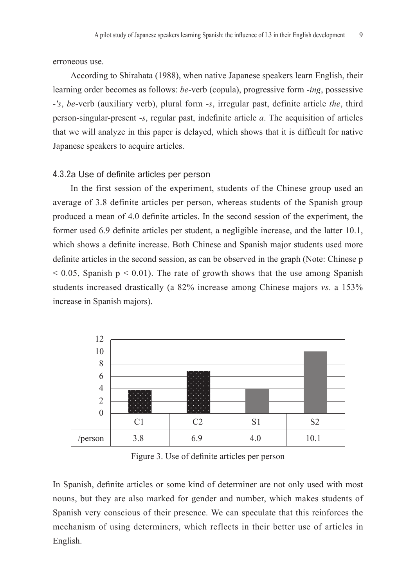erroneous use.

According to Shirahata (1988), when native Japanese speakers learn English, their learning order becomes as follows: *be*-verb (copula), progressive form -*ing*, possessive -*'s*, *be*-verb (auxiliary verb), plural form -*s*, irregular past, definite article *the*, third person-singular-present -*s*, regular past, indefnite article *a*. The acquisition of articles that we will analyze in this paper is delayed, which shows that it is diffcult for native Japanese speakers to acquire articles.

#### 4.3.2a Use of definite articles per person

In the first session of the experiment, students of the Chinese group used an average of 3.8 definite articles per person, whereas students of the Spanish group produced a mean of 4.0 defnite articles. In the second session of the experiment, the former used 6.9 defnite articles per student, a negligible increase, and the latter 10.1, which shows a defnite increase. Both Chinese and Spanish major students used more defnite articles in the second session, as can be observed in the graph (Note: Chinese p  $< 0.05$ , Spanish p  $< 0.01$ ). The rate of growth shows that the use among Spanish students increased drastically (a 82% increase among Chinese majors *vs*. a 153% increase in Spanish majors).



Figure 3. Use of defnite articles per person

In Spanish, defnite articles or some kind of determiner are not only used with most nouns, but they are also marked for gender and number, which makes students of Spanish very conscious of their presence. We can speculate that this reinforces the mechanism of using determiners, which reflects in their better use of articles in English.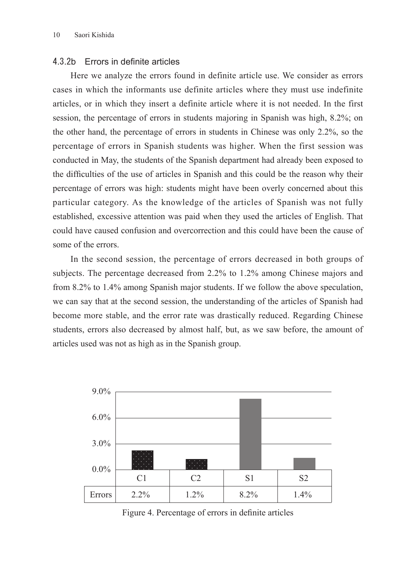## 4.3.2b Errors in definite articles

Here we analyze the errors found in definite article use. We consider as errors cases in which the informants use definite articles where they must use indefinite articles, or in which they insert a definite article where it is not needed. In the first session, the percentage of errors in students majoring in Spanish was high, 8.2%; on the other hand, the percentage of errors in students in Chinese was only 2.2%, so the percentage of errors in Spanish students was higher. When the first session was conducted in May, the students of the Spanish department had already been exposed to the diffculties of the use of articles in Spanish and this could be the reason why their percentage of errors was high: students might have been overly concerned about this particular category. As the knowledge of the articles of Spanish was not fully established, excessive attention was paid when they used the articles of English. That could have caused confusion and overcorrection and this could have been the cause of some of the errors.

In the second session, the percentage of errors decreased in both groups of subjects. The percentage decreased from 2.2% to 1.2% among Chinese majors and from 8.2% to 1.4% among Spanish major students. If we follow the above speculation, we can say that at the second session, the understanding of the articles of Spanish had become more stable, and the error rate was drastically reduced. Regarding Chinese students, errors also decreased by almost half, but, as we saw before, the amount of articles used was not as high as in the Spanish group.



Figure 4. Percentage of errors in defnite articles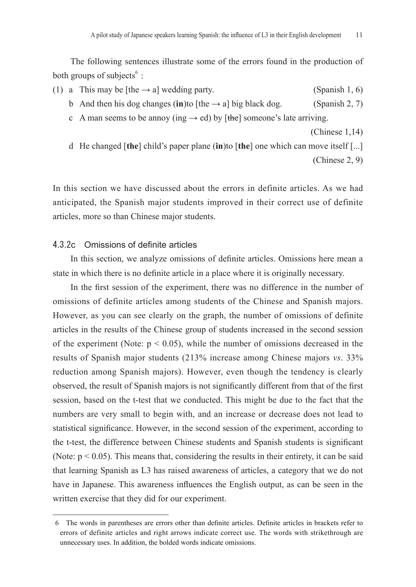The following sentences illustrate some of the errors found in the production of both groups of subjects $\delta$ :

- (1) a This may be [the  $\rightarrow$  a] wedding party. (Spanish 1, 6)
	- b And then his dog changes (**in**)to [the  $\rightarrow$  a] big black dog. (Spanish 2, 7)
	- c A man seems to be annoy (ing  $\rightarrow$  ed) by [the] someone's late arriving.

(Chinese 1,14)

d He changed [**the**] child's paper plane (**in**)to [**the**] one which can move itself [...]

(Chinese 2, 9)

In this section we have discussed about the errors in definite articles. As we had anticipated, the Spanish major students improved in their correct use of definite articles, more so than Chinese major students.

#### 4.3.2c Omissions of definite articles

In this section, we analyze omissions of defnite articles. Omissions here mean a state in which there is no defnite article in a place where it is originally necessary.

In the frst session of the experiment, there was no difference in the number of omissions of definite articles among students of the Chinese and Spanish majors. However, as you can see clearly on the graph, the number of omissions of definite articles in the results of the Chinese group of students increased in the second session of the experiment (Note:  $p \le 0.05$ ), while the number of omissions decreased in the results of Spanish major students (213% increase among Chinese majors *vs*. 33% reduction among Spanish majors). However, even though the tendency is clearly observed, the result of Spanish majors is not signifcantly different from that of the frst session, based on the t-test that we conducted. This might be due to the fact that the numbers are very small to begin with, and an increase or decrease does not lead to statistical signifcance. However, in the second session of the experiment, according to the t-test, the difference between Chinese students and Spanish students is signifcant (Note:  $p \le 0.05$ ). This means that, considering the results in their entirety, it can be said that learning Spanish as L3 has raised awareness of articles, a category that we do not have in Japanese. This awareness infuences the English output, as can be seen in the written exercise that they did for our experiment.

<sup>6</sup> The words in parentheses are errors other than defnite articles. Defnite articles in brackets refer to errors of definite articles and right arrows indicate correct use. The words with strikethrough are unnecessary uses. In addition, the bolded words indicate omissions.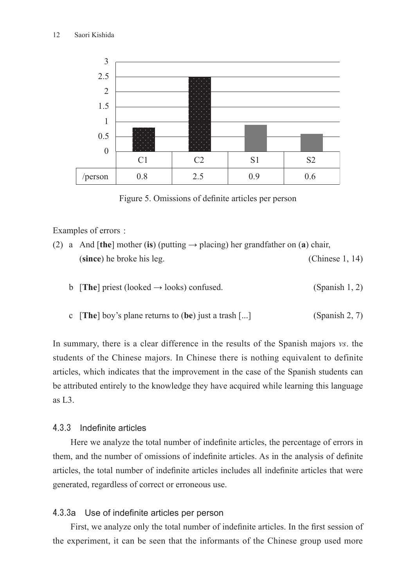

Figure 5. Omissions of defnite articles per person

Examples of errors:

- (2) a And  $[the]$  mother (is) (putting  $\rightarrow$  placing) her grandfather on (a) chair, (**since**) he broke his leg. (Chinese 1, 14)
	- b [**The**] priest (looked → looks) confused. (Spanish 1, 2)
	- c [**The**] boy's plane returns to (**be**) just a trash [...] (Spanish 2, 7)

In summary, there is a clear difference in the results of the Spanish majors *vs*. the students of the Chinese majors. In Chinese there is nothing equivalent to definite articles, which indicates that the improvement in the case of the Spanish students can be attributed entirely to the knowledge they have acquired while learning this language as L3.

## 4.3.3 Indefinite articles

Here we analyze the total number of indefnite articles, the percentage of errors in them, and the number of omissions of indefnite articles. As in the analysis of defnite articles, the total number of indefnite articles includes all indefnite articles that were generated, regardless of correct or erroneous use.

#### 4.3.3a Use of indefinite articles per person

First, we analyze only the total number of indefnite articles. In the frst session of the experiment, it can be seen that the informants of the Chinese group used more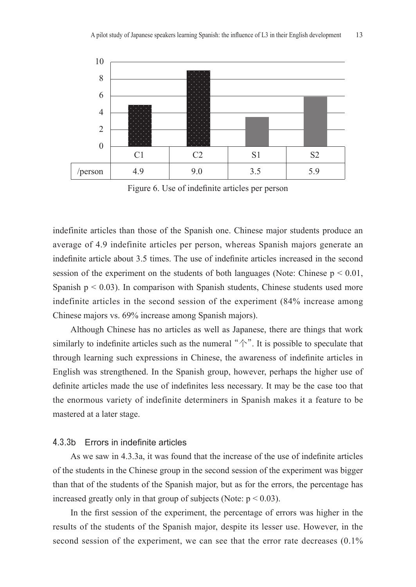

Figure 6. Use of indefnite articles per person

indefinite articles than those of the Spanish one. Chinese major students produce an average of 4.9 indefinite articles per person, whereas Spanish majors generate an indefnite article about 3.5 times. The use of indefnite articles increased in the second session of the experiment on the students of both languages (Note: Chinese  $p < 0.01$ , Spanish  $p < 0.03$ ). In comparison with Spanish students, Chinese students used more indefinite articles in the second session of the experiment (84% increase among Chinese majors vs. 69% increase among Spanish majors).

Although Chinese has no articles as well as Japanese, there are things that work similarly to indefinite articles such as the numeral " $\uparrow$ ". It is possible to speculate that through learning such expressions in Chinese, the awareness of indefnite articles in English was strengthened. In the Spanish group, however, perhaps the higher use of defnite articles made the use of indefnites less necessary. It may be the case too that the enormous variety of indefinite determiners in Spanish makes it a feature to be mastered at a later stage.

### 4.3.3b Errors in indefinite articles

As we saw in 4.3.3a, it was found that the increase of the use of indefnite articles of the students in the Chinese group in the second session of the experiment was bigger than that of the students of the Spanish major, but as for the errors, the percentage has increased greatly only in that group of subjects (Note:  $p < 0.03$ ).

In the frst session of the experiment, the percentage of errors was higher in the results of the students of the Spanish major, despite its lesser use. However, in the second session of the experiment, we can see that the error rate decreases (0.1%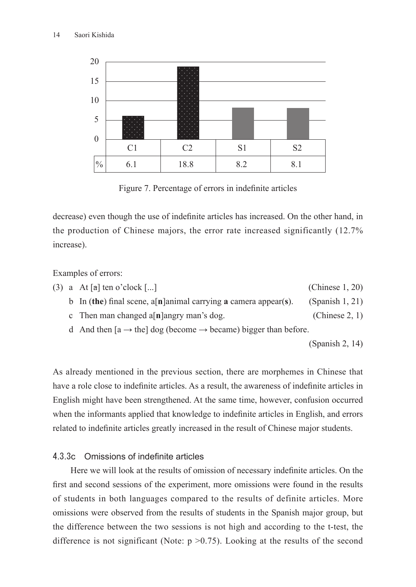

Figure 7. Percentage of errors in indefnite articles

decrease) even though the use of indefnite articles has increased. On the other hand, in the production of Chinese majors, the error rate increased significantly (12.7% increase).

Examples of errors:

- (3) a At  $\lceil \text{at } \rceil$  ten o'clock  $\lceil \dots \rceil$  (Chinese 1, 20) b In (**the**) fnal scene, a[**n**]animal carrying **a** camera appear(**s**). (Spanish 1, 21) c Then man changed a[**n**]angry man's dog. (Chinese 2, 1)
	- d And then  $[a \rightarrow the]$  dog (become  $\rightarrow$  became) bigger than before.

(Spanish 2, 14)

As already mentioned in the previous section, there are morphemes in Chinese that have a role close to indefnite articles. As a result, the awareness of indefnite articles in English might have been strengthened. At the same time, however, confusion occurred when the informants applied that knowledge to indefnite articles in English, and errors related to indefnite articles greatly increased in the result of Chinese major students.

# 4.3.3c Omissions of indefinite articles

Here we will look at the results of omission of necessary indefnite articles. On the frst and second sessions of the experiment, more omissions were found in the results of students in both languages compared to the results of definite articles. More omissions were observed from the results of students in the Spanish major group, but the difference between the two sessions is not high and according to the t-test, the difference is not significant (Note:  $p > 0.75$ ). Looking at the results of the second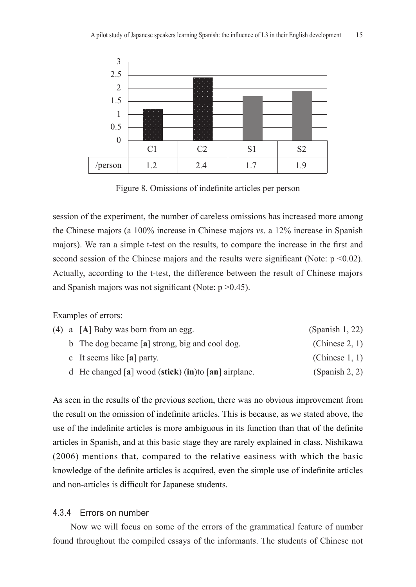

Figure 8. Omissions of indefnite articles per person

session of the experiment, the number of careless omissions has increased more among the Chinese majors (a 100% increase in Chinese majors *vs*. a 12% increase in Spanish majors). We ran a simple t-test on the results, to compare the increase in the frst and second session of the Chinese majors and the results were significant (Note:  $p \le 0.02$ ). Actually, according to the t-test, the difference between the result of Chinese majors and Spanish majors was not significant (Note:  $p > 0.45$ ).

Examples of errors:

|  | (4) a [A] Baby was born from an egg.                   | (Spanish 1, 22)   |
|--|--------------------------------------------------------|-------------------|
|  | b The dog became $[a]$ strong, big and cool dog.       | (Chinese 2, 1)    |
|  | c It seems like $[a]$ party.                           | (Chinese $1, 1$ ) |
|  | d He changed $[a]$ wood (stick) (in)to $[a]$ airplane. | (Spanish 2, 2)    |

As seen in the results of the previous section, there was no obvious improvement from the result on the omission of indefnite articles. This is because, as we stated above, the use of the indefnite articles is more ambiguous in its function than that of the defnite articles in Spanish, and at this basic stage they are rarely explained in class. Nishikawa (2006) mentions that, compared to the relative easiness with which the basic knowledge of the defnite articles is acquired, even the simple use of indefnite articles and non-articles is diffcult for Japanese students.

## 4.3.4 Errors on number

Now we will focus on some of the errors of the grammatical feature of number found throughout the compiled essays of the informants. The students of Chinese not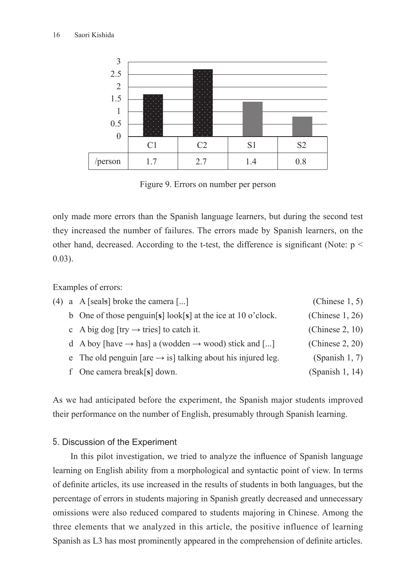

Figure 9. Errors on number per person

only made more errors than the Spanish language learners, but during the second test they increased the number of failures. The errors made by Spanish learners, on the other hand, decreased. According to the t-test, the difference is significant (Note:  $p \le$ 0.03).

Examples of errors:

|  | (4) a A [seals] broke the camera $[\dots]$                                  | (Chinese $1, 5$ )  |
|--|-----------------------------------------------------------------------------|--------------------|
|  | b One of those penguin[s] $\text{look}[s]$ at the ice at 10 o'clock.        | (Chinese $1, 26$ ) |
|  | c A big dog [try $\rightarrow$ tries] to catch it.                          | (Chinese 2, 10)    |
|  | d A boy [have $\rightarrow$ has] a (wodden $\rightarrow$ wood) stick and [] | (Chinese 2, 20)    |
|  | e The old penguin [are $\rightarrow$ is] talking about his injured leg.     | (Spanish 1, 7)     |
|  | f One camera break[s] down.                                                 | (Spanish 1, 14)    |

As we had anticipated before the experiment, the Spanish major students improved their performance on the number of English, presumably through Spanish learning.

# 5. Discussion of the Experiment

In this pilot investigation, we tried to analyze the infuence of Spanish language learning on English ability from a morphological and syntactic point of view. In terms of defnite articles, its use increased in the results of students in both languages, but the percentage of errors in students majoring in Spanish greatly decreased and unnecessary omissions were also reduced compared to students majoring in Chinese. Among the three elements that we analyzed in this article, the positive influence of learning Spanish as L3 has most prominently appeared in the comprehension of defnite articles.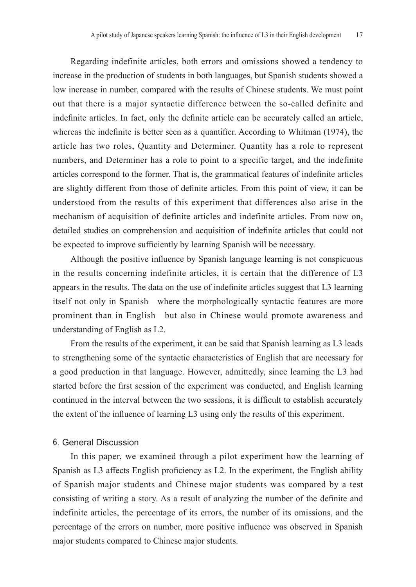Regarding indefinite articles, both errors and omissions showed a tendency to increase in the production of students in both languages, but Spanish students showed a low increase in number, compared with the results of Chinese students. We must point out that there is a major syntactic difference between the so-called definite and indefnite articles. In fact, only the defnite article can be accurately called an article, whereas the indefnite is better seen as a quantifer. According to Whitman (1974), the article has two roles, Quantity and Determiner. Quantity has a role to represent numbers, and Determiner has a role to point to a specific target, and the indefinite articles correspond to the former. That is, the grammatical features of indefnite articles are slightly different from those of defnite articles. From this point of view, it can be understood from the results of this experiment that differences also arise in the mechanism of acquisition of definite articles and indefinite articles. From now on, detailed studies on comprehension and acquisition of indefnite articles that could not be expected to improve suffciently by learning Spanish will be necessary.

Although the positive infuence by Spanish language learning is not conspicuous in the results concerning indefinite articles, it is certain that the difference of L3 appears in the results. The data on the use of indefnite articles suggest that L3 learning itself not only in Spanish—where the morphologically syntactic features are more prominent than in English—but also in Chinese would promote awareness and understanding of English as L2.

From the results of the experiment, it can be said that Spanish learning as L3 leads to strengthening some of the syntactic characteristics of English that are necessary for a good production in that language. However, admittedly, since learning the L3 had started before the frst session of the experiment was conducted, and English learning continued in the interval between the two sessions, it is diffcult to establish accurately the extent of the infuence of learning L3 using only the results of this experiment.

#### 6. General Discussion

In this paper, we examined through a pilot experiment how the learning of Spanish as L3 affects English profciency as L2. In the experiment, the English ability of Spanish major students and Chinese major students was compared by a test consisting of writing a story. As a result of analyzing the number of the defnite and indefinite articles, the percentage of its errors, the number of its omissions, and the percentage of the errors on number, more positive infuence was observed in Spanish major students compared to Chinese major students.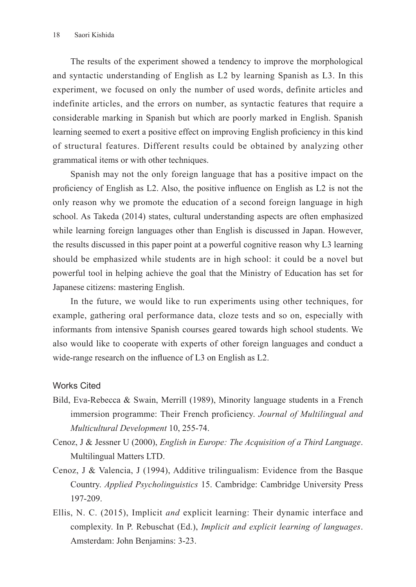The results of the experiment showed a tendency to improve the morphological and syntactic understanding of English as L2 by learning Spanish as L3. In this experiment, we focused on only the number of used words, definite articles and indefinite articles, and the errors on number, as syntactic features that require a considerable marking in Spanish but which are poorly marked in English. Spanish learning seemed to exert a positive effect on improving English profciency in this kind of structural features. Different results could be obtained by analyzing other grammatical items or with other techniques.

Spanish may not the only foreign language that has a positive impact on the profciency of English as L2. Also, the positive infuence on English as L2 is not the only reason why we promote the education of a second foreign language in high school. As Takeda (2014) states, cultural understanding aspects are often emphasized while learning foreign languages other than English is discussed in Japan. However, the results discussed in this paper point at a powerful cognitive reason why L3 learning should be emphasized while students are in high school: it could be a novel but powerful tool in helping achieve the goal that the Ministry of Education has set for Japanese citizens: mastering English.

In the future, we would like to run experiments using other techniques, for example, gathering oral performance data, cloze tests and so on, especially with informants from intensive Spanish courses geared towards high school students. We also would like to cooperate with experts of other foreign languages and conduct a wide-range research on the infuence of L3 on English as L2.

#### Works Cited

- Bild, Eva-Rebecca & Swain, Merrill (1989), Minority language students in a French immersion programme: Their French proficiency. *Journal of Multilingual and Multicultural Development* 10, 255-74.
- Cenoz, J & Jessner U (2000), *English in Europe: The Acquisition of a Third Language*. Multilingual Matters LTD.
- Cenoz, J & Valencia, J (1994), Additive trilingualism: Evidence from the Basque Country. *Applied Psycholinguistics* 15. Cambridge: Cambridge University Press 197-209.
- Ellis, N. C. (2015), Implicit *and* explicit learning: Their dynamic interface and complexity. In P. Rebuschat (Ed.), *Implicit and explicit learning of languages*. Amsterdam: John Benjamins: 3-23.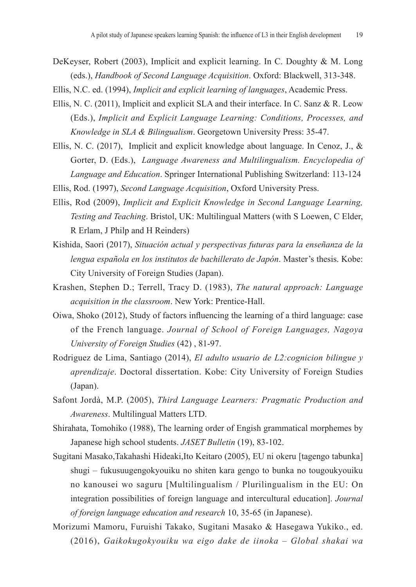- DeKeyser, Robert (2003), Implicit and explicit learning. In C. Doughty & M. Long (eds.), *Handbook of Second Language Acquisition*. Oxford: Blackwell, 313-348.
- Ellis, N.C. ed. (1994), *Implicit and explicit learning of languages*, Academic Press.
- Ellis, N. C. (2011), Implicit and explicit SLA and their interface. In C. Sanz & R. Leow (Eds.), *Implicit and Explicit Language Learning: Conditions, Processes, and Knowledge in SLA & Bilingualism*. Georgetown University Press: 35-47.
- Ellis, N. C. (2017), Implicit and explicit knowledge about language. In Cenoz, J., & Gorter, D. (Eds.), *Language Awareness and Multilingualism. Encyclopedia of Language and Education*. Springer International Publishing Switzerland: 113-124
- Ellis, Rod. (1997), *Second Language Acquisition*, Oxford University Press.
- Ellis, Rod (2009), *Implicit and Explicit Knowledge in Second Language Learning, Testing and Teaching*. Bristol, UK: Multilingual Matters (with S Loewen, C Elder, R Erlam, J Philp and H Reinders)
- Kishida, Saori (2017), *Situación actual y perspectivas futuras para la enseñanza de la lengua española en los institutos de bachillerato de Japón*. Master's thesis. Kobe: City University of Foreign Studies (Japan).
- Krashen, Stephen D.; Terrell, Tracy D. (1983), *The natural approach: Language acquisition in the classroom*. New York: Prentice-Hall.
- Oiwa, Shoko (2012), Study of factors infuencing the learning of a third language: case of the French language. *Journal of School of Foreign Languages, Nagoya University of Foreign Studies* (42) , 81-97.
- Rodriguez de Lima, Santiago (2014), *El adulto usuario de L2:cognicion bilingue y aprendizaje*. Doctoral dissertation. Kobe: City University of Foreign Studies (Japan).
- Safont Jordà, M.P. (2005), *Third Language Learners: Pragmatic Production and Awareness*. Multilingual Matters LTD.
- Shirahata, Tomohiko (1988), The learning order of Engish grammatical morphemes by Japanese high school students. *JASET Bulletin* (19), 83-102.
- Sugitani Masako,Takahashi Hideaki,Ito Keitaro (2005), EU ni okeru [tagengo tabunka] shugi – fukusuugengokyouiku no shiten kara gengo to bunka no tougoukyouiku no kanousei wo saguru [Multilingualism / Plurilingualism in the EU: On integration possibilities of foreign language and intercultural education]. *Journal of foreign language education and research* 10, 35-65 (in Japanese).
- Morizumi Mamoru, Furuishi Takako, Sugitani Masako & Hasegawa Yukiko., ed. (2016), *Gaikokugokyouiku wa eigo dake de iinoka – Global shakai wa*